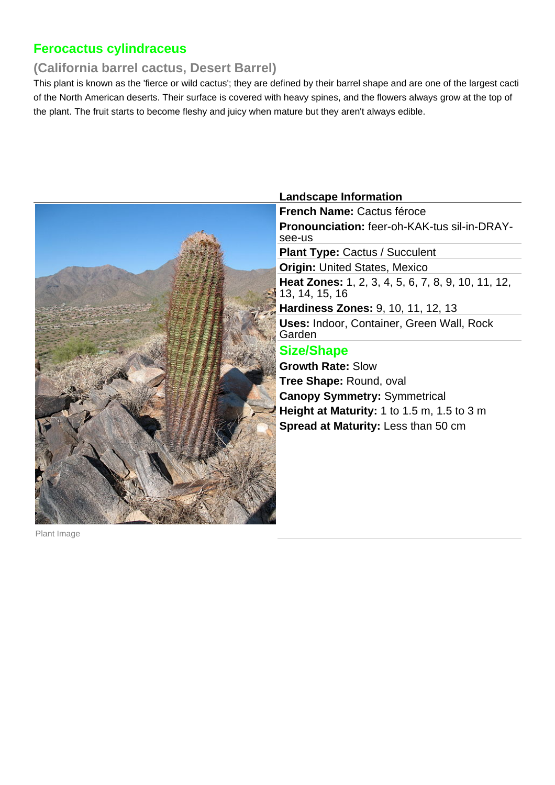## **Ferocactus cylindraceus**

### **(California barrel cactus, Desert Barrel)**

This plant is known as the 'fierce or wild cactus'; they are defined by their barrel shape and are one of the largest cacti of the North American deserts. Their surface is covered with heavy spines, and the flowers always grow at the top of the plant. The fruit starts to become fleshy and juicy when mature but they aren't always edible.



#### **Landscape Information**

**French Name:** Cactus féroce **Pronounciation:** feer-oh-KAK-tus sil-in-DRAYsee-us

**Plant Type: Cactus / Succulent** 

**Origin: United States, Mexico Heat Zones:** 1, 2, 3, 4, 5, 6, 7, 8, 9, 10, 11, 12, 13, 14, 15, 16

**Hardiness Zones:** 9, 10, 11, 12, 13 **Uses:** Indoor, Container, Green Wall, Rock Garden

### **Size/Shape**

**Growth Rate:** Slow **Tree Shape:** Round, oval **Canopy Symmetry:** Symmetrical **Height at Maturity:** 1 to 1.5 m, 1.5 to 3 m **Spread at Maturity:** Less than 50 cm

Plant Image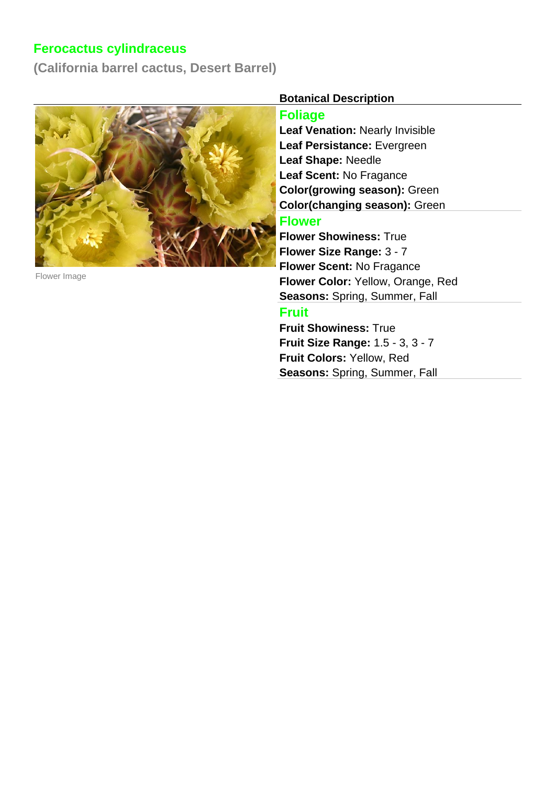# **Ferocactus cylindraceus**

**(California barrel cactus, Desert Barrel)**



Flower Image

#### **Botanical Description**

#### **Foliage**

**Leaf Venation:** Nearly Invisible **Leaf Persistance:** Evergreen **Leaf Shape:** Needle **Leaf Scent:** No Fragance **Color(growing season):** Green **Color(changing season):** Green

#### **Flower**

**Flower Showiness:** True **Flower Size Range:** 3 - 7 **Flower Scent:** No Fragance **Flower Color:** Yellow, Orange, Red **Seasons:** Spring, Summer, Fall

## **Fruit**

**Fruit Showiness:** True **Fruit Size Range:** 1.5 - 3, 3 - 7 **Fruit Colors:** Yellow, Red **Seasons:** Spring, Summer, Fall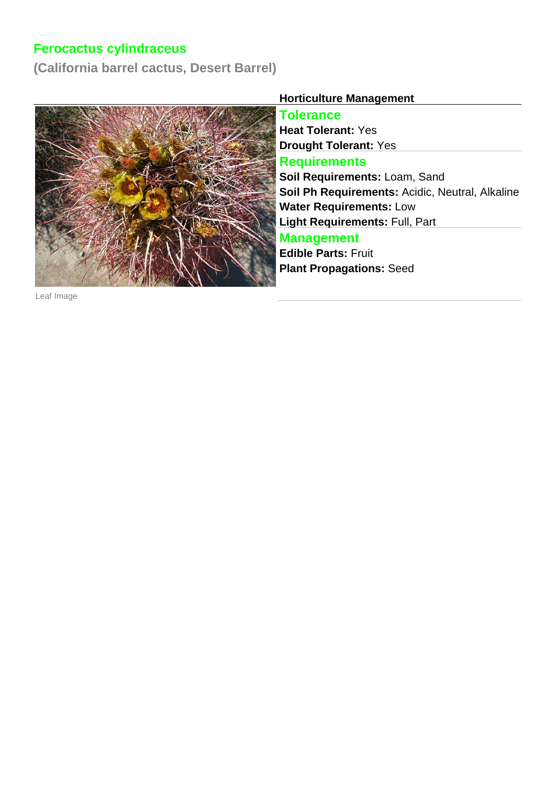# **Ferocactus cylindraceus**

**(California barrel cactus, Desert Barrel)**



**Horticulture Management**

**Tolerance Heat Tolerant:** Yes **Drought Tolerant:** Yes

#### **Requirements**

**Soil Requirements:** Loam, Sand **Soil Ph Requirements:** Acidic, Neutral, Alkaline **Water Requirements:** Low **Light Requirements:** Full, Part

### **Management**

**Edible Parts:** Fruit **Plant Propagations:** Seed

Leaf Image